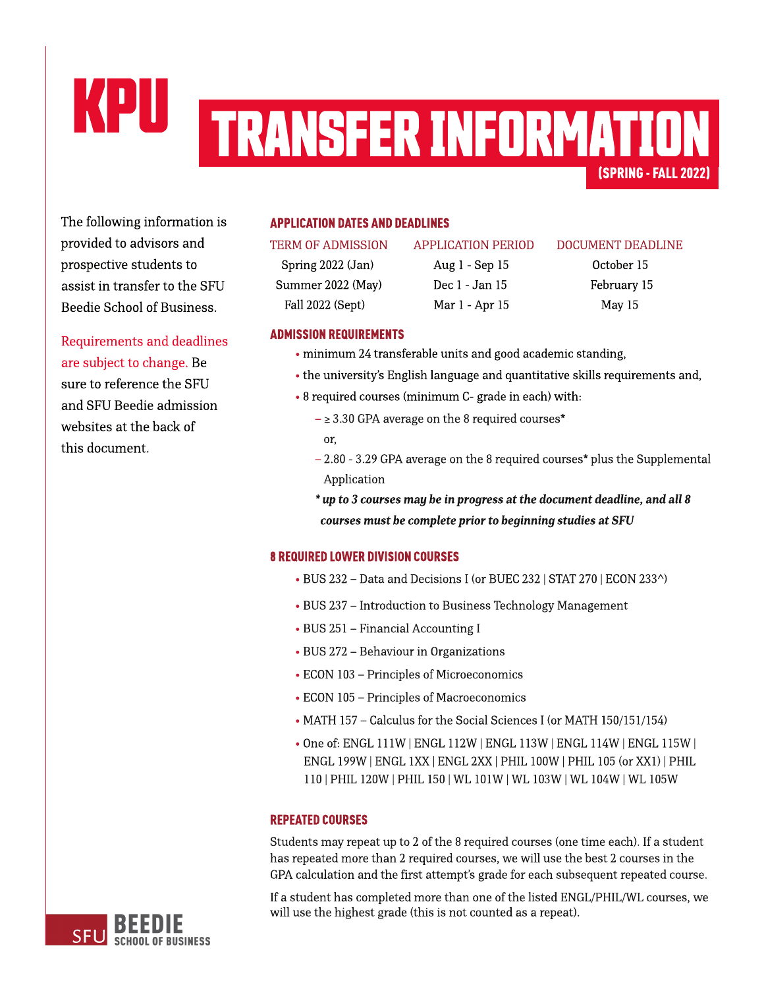# KPU (SPRING-FALL2022) TRANSFERINFORMATION

The following information is provided to advisors and prospective students to assist in transfer to the SFU Beedie School of Business.

Requirements and deadlines are subject to change. Be sure to reference the SFU and SFU Beedie admission websites at the back of this document.

## **APPLICATION DATES AND DEADLINES**

Spring 2022 (Jan) Aug 1 - Sep 15 October 15 Summer 2022 (May) Dec 1 - Jan 15 February 15 Fall 2022 (Sept) Mar 1 - Apr 15 May 15

#### TERM OF ADMISSION APPLICATION PERIOD DOCUMENT DEADLINE

### **ADMISSION REQUIREMENTS**

- minimum 24 transferable units and good academic standing,
- the university's [English](https://www.sfu.ca/students/admission/admission-requirements/english-language-requirement.html) [language](https://www.sfu.ca/students/admission/admission-requirements/english-language-requirement.html) and quantitative skills requirements and,
- 8 required courses (minimum C- grade in each) with:
	- $\geq$  3.30 GPA average on the 8 required courses\* or,
	- $2.80 3.29$  GPA average on the 8 required courses\* plus the Supplemental Application
	- **\* upto3coursesmay bein progressat thedocument deadline,andall8** *courses must be complete prior to beginning studies at SFU*

### **8 REQUIRED LOWER DIVISION COURSES**

- BUS 232 Data and Decisions I (or BUEC 232 | STAT 270 | ECON 233^)
- BUS 237 Introduction to Business Technology Management
- BUS 251 Financial Accounting I
- BUS 272 Behaviour in Organizations
- ECON 103 Principles of Microeconomics
- ECON 105 Principles of Macroeconomics
- MATH 157 Calculus for the Social Sciences I (or MATH 150/151/154)
- Oneof: ENGL 111W |ENGL 112W | ENGL 113W | ENGL 114W | ENGL 115W | ENGL 199W |ENGL 1XX|ENGL 2XX| PHIL 100W |PHIL 105(or XX1) |PHIL 110| PHIL 120W |PHIL 150| WL 101W | WL 103W | WL 104W | WL105W

### **REPEATED COURSES**

Students may repeat up to 2 of the 8 required courses (one time each). If a student has repeated more than 2 required courses, we will use the best 2 courses in the GPA calculation and the first attempt's grade for each subsequent repeated course.

If a student has completed more than one of the listed ENGL/PHIL/WL courses, we will use the highest grade (this is not counted as a repeat).